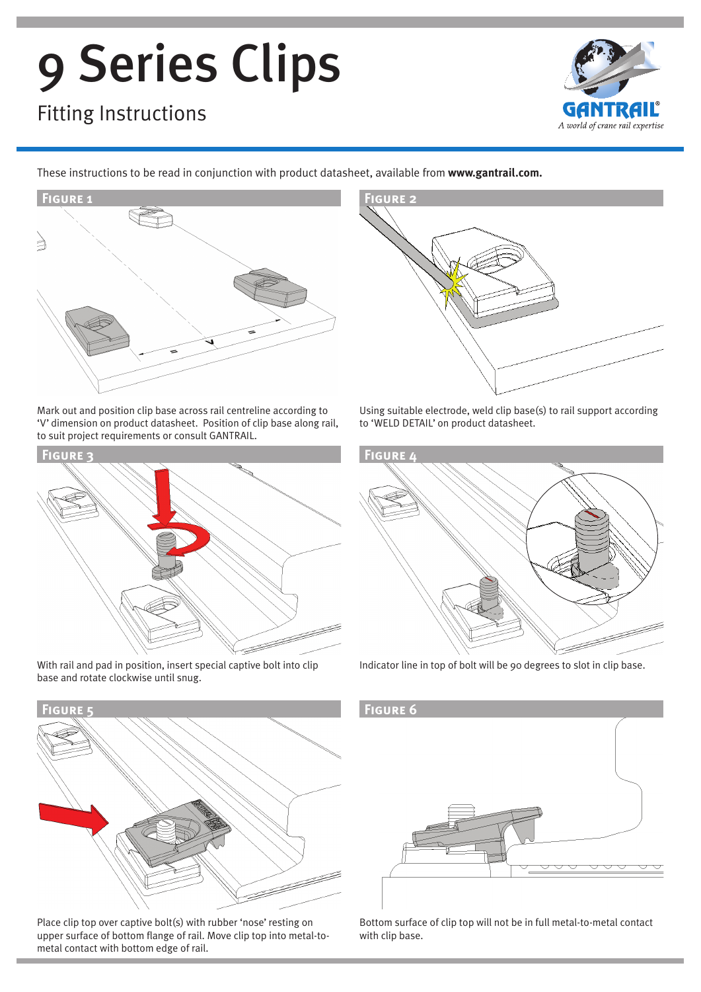# 9 Series Clips

## Fitting Instructions



These instructions to be read in conjunction with product datasheet, available from **www.gantrail.com.**



Mark out and position clip base across rail centreline according to 'V' dimension on product datasheet. Position of clip base along rail, to suit project requirements or consult GANTRAIL.



With rail and pad in position, insert special captive bolt into clip base and rotate clockwise until snug.



Place clip top over captive bolt(s) with rubber 'nose' resting on upper surface of bottom flange of rail. Move clip top into metal-tometal contact with bottom edge of rail.



Using suitable electrode, weld clip base(s) to rail support according to 'WELD DETAIL' on product datasheet.



Indicator line in top of bolt will be 90 degrees to slot in clip base.



Bottom surface of clip top will not be in full metal-to-metal contact with clip base.